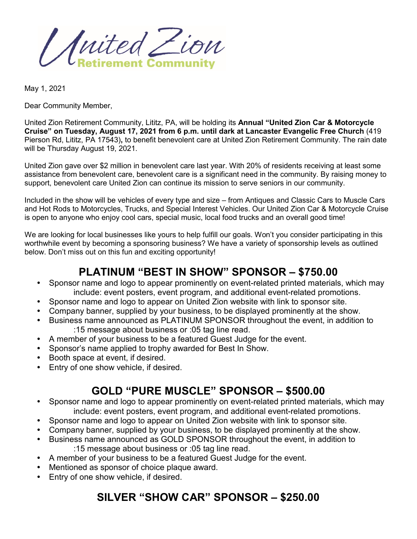United Zion

May 1, 2021

Dear Community Member,

United Zion Retirement Community, Lititz, PA, will be holding its **Annual "United Zion Car & Motorcycle Cruise" on Tuesday, August 17, 2021 from 6 p.m. until dark at Lancaster Evangelic Free Church** (419 Pierson Rd, Lititz, PA 17543)**,** to benefit benevolent care at United Zion Retirement Community. The rain date will be Thursday August 19, 2021.

United Zion gave over \$2 million in benevolent care last year. With 20% of residents receiving at least some assistance from benevolent care, benevolent care is a significant need in the community. By raising money to support, benevolent care United Zion can continue its mission to serve seniors in our community.

Included in the show will be vehicles of every type and size – from Antiques and Classic Cars to Muscle Cars and Hot Rods to Motorcycles, Trucks, and Special Interest Vehicles. Our United Zion Car & Motorcycle Cruise is open to anyone who enjoy cool cars, special music, local food trucks and an overall good time!

We are looking for local businesses like yours to help fulfill our goals. Won't you consider participating in this worthwhile event by becoming a sponsoring business? We have a variety of sponsorship levels as outlined below. Don't miss out on this fun and exciting opportunity!

#### **PLATINUM "BEST IN SHOW" SPONSOR – \$750.00**

- Sponsor name and logo to appear prominently on event-related printed materials, which may include: event posters, event program, and additional event-related promotions.
- Sponsor name and logo to appear on United Zion website with link to sponsor site.
- Company banner, supplied by your business, to be displayed prominently at the show.
- Business name announced as PLATINUM SPONSOR throughout the event, in addition to :15 message about business or :05 tag line read.
- A member of your business to be a featured Guest Judge for the event.
- Sponsor's name applied to trophy awarded for Best In Show.
- Booth space at event, if desired.
- Entry of one show vehicle, if desired.

# **GOLD "PURE MUSCLE" SPONSOR – \$500.00**

- Sponsor name and logo to appear prominently on event-related printed materials, which may include: event posters, event program, and additional event-related promotions.
- Sponsor name and logo to appear on United Zion website with link to sponsor site.
- Company banner, supplied by your business, to be displayed prominently at the show.
- Business name announced as GOLD SPONSOR throughout the event, in addition to :15 message about business or :05 tag line read.
- A member of your business to be a featured Guest Judge for the event.
- Mentioned as sponsor of choice plaque award.
- Entry of one show vehicle, if desired.

# **SILVER "SHOW CAR" SPONSOR – \$250.00**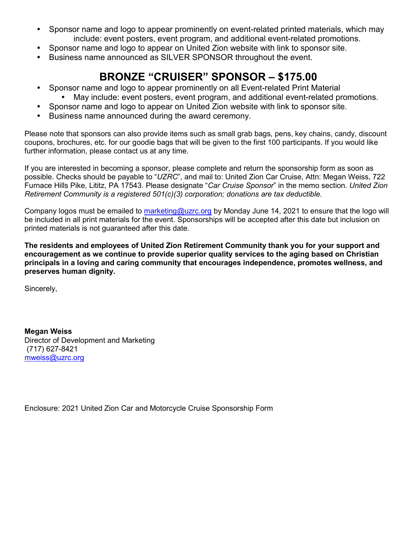- Sponsor name and logo to appear prominently on event-related printed materials, which may include: event posters, event program, and additional event-related promotions.
- Sponsor name and logo to appear on United Zion website with link to sponsor site.
- Business name announced as SILVER SPONSOR throughout the event.

# **BRONZE "CRUISER" SPONSOR – \$175.00**

- Sponsor name and logo to appear prominently on all Event-related Print Material
	- May include: event posters, event program, and additional event-related promotions.
- Sponsor name and logo to appear on United Zion website with link to sponsor site.
- Business name announced during the award ceremony.

Please note that sponsors can also provide items such as small grab bags, pens, key chains, candy, discount coupons, brochures, etc. for our goodie bags that will be given to the first 100 participants. If you would like further information, please contact us at any time.

If you are interested in becoming a sponsor, please complete and return the sponsorship form as soon as possible. Checks should be payable to "*UZRC*", and mail to: United Zion Car Cruise, Attn: Megan Weiss, 722 Furnace Hills Pike, Lititz, PA 17543. Please designate "*Car Cruise Sponsor*" in the memo section. *United Zion Retirement Community is a registered 501(c)(3) corporation; donations are tax deductible*.

Company logos must be emailed to [marketing@uzrc.org](mailto:marketing@uzrc.org) by Monday June 14, 2021 to ensure that the logo will be included in all print materials for the event. Sponsorships will be accepted after this date but inclusion on printed materials is not guaranteed after this date.

**The residents and employees of United Zion Retirement Community thank you for your support and encouragement as we continue to provide superior quality services to the aging based on Christian principals in a loving and caring community that encourages independence, promotes wellness, and preserves human dignity.** 

Sincerely,

**Megan Weiss** Director of Development and Marketing (717) 627-8421 [mweiss@uzrc.org](mailto:mweiss@uzrc.org) 

Enclosure: 2021 United Zion Car and Motorcycle Cruise Sponsorship Form